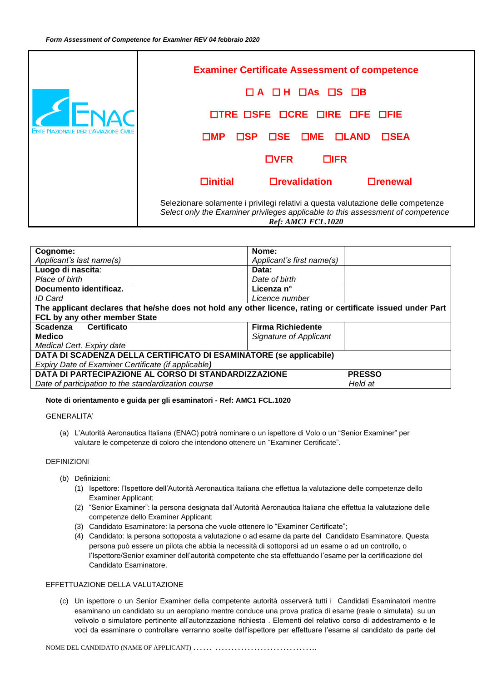

| Cognome:                                                                                                    | Nome:                         |  |  |
|-------------------------------------------------------------------------------------------------------------|-------------------------------|--|--|
| Applicant's last name(s)                                                                                    | Applicant's first name(s)     |  |  |
| Luogo di nascita:                                                                                           | Data:                         |  |  |
| Place of birth                                                                                              | Date of birth                 |  |  |
| Documento identificaz.                                                                                      | Licenza n°                    |  |  |
| ID Card                                                                                                     | Licence number                |  |  |
| The applicant declares that he/she does not hold any other licence, rating or certificate issued under Part |                               |  |  |
| FCL by any other member State                                                                               |                               |  |  |
| Certificato<br>Scadenza                                                                                     | <b>Firma Richiedente</b>      |  |  |
| <b>Medico</b>                                                                                               | <b>Signature of Applicant</b> |  |  |
| Medical Cert. Expiry date                                                                                   |                               |  |  |
| DATA DI SCADENZA DELLA CERTIFICATO DI ESAMINATORE (se applicabile)                                          |                               |  |  |
| Expiry Date of Examiner Certificate (if applicable)                                                         |                               |  |  |
| DATA DI PARTECIPAZIONE AL CORSO DI STANDARDIZZAZIONE<br><b>PRESSO</b>                                       |                               |  |  |
| Date of participation to the standardization course                                                         | Held at                       |  |  |

# **Note di orientamento e guida per gli esaminatori - Ref: AMC1 FCL.1020**

GENERALITA'

(a) L'Autorità Aeronautica Italiana (ENAC) potrà nominare o un ispettore di Volo o un "Senior Examiner" per valutare le competenze di coloro che intendono ottenere un "Examiner Certificate".

# DEFINIZIONI

- (b) Definizioni:
	- (1) Ispettore: l'Ispettore dell'Autorità Aeronautica Italiana che effettua la valutazione delle competenze dello Examiner Applicant;
	- (2) "Senior Examiner": la persona designata dall'Autorità Aeronautica Italiana che effettua la valutazione delle competenze dello Examiner Applicant;
	- (3) Candidato Esaminatore: la persona che vuole ottenere lo "Examiner Certificate";
	- (4) Candidato: la persona sottoposta a valutazione o ad esame da parte del Candidato Esaminatore. Questa persona può essere un pilota che abbia la necessità di sottoporsi ad un esame o ad un controllo, o l'Ispettore/Senior examiner dell'autorità competente che sta effettuando l'esame per la certificazione del Candidato Esaminatore.

# EFFETTUAZIONE DELLA VALUTAZIONE

(c) Un ispettore o un Senior Examiner della competente autorità osserverà tutti i Candidati Esaminatori mentre esaminano un candidato su un aeroplano mentre conduce una prova pratica di esame (reale o simulata) su un velivolo o simulatore pertinente all'autorizzazione richiesta . Elementi del relativo corso di addestramento e le voci da esaminare o controllare verranno scelte dall'ispettore per effettuare l'esame al candidato da parte del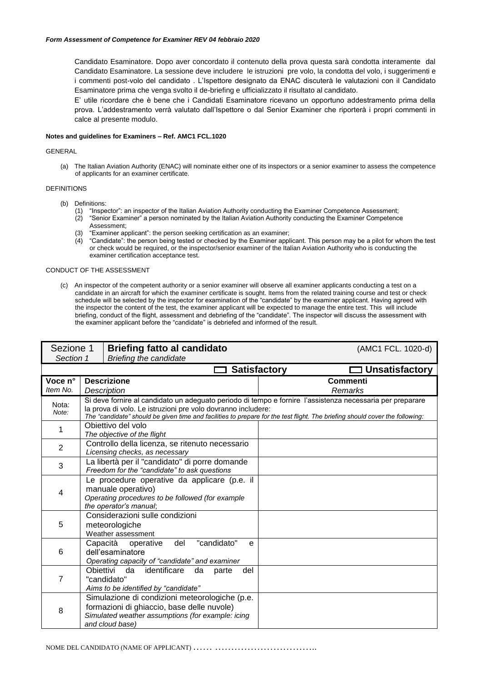Candidato Esaminatore. Dopo aver concordato il contenuto della prova questa sarà condotta interamente dal Candidato Esaminatore. La sessione deve includere le istruzioni pre volo, la condotta del volo, i suggerimenti e i commenti post-volo del candidato . L'Ispettore designato da ENAC discuterà le valutazioni con il Candidato Esaminatore prima che venga svolto il de-briefing e ufficializzato il risultato al candidato.

E' utile ricordare che è bene che i Candidati Esaminatore ricevano un opportuno addestramento prima della prova. L'addestramento verrà valutato dall'Ispettore o dal Senior Examiner che riporterà i propri commenti in calce al presente modulo.

## **Notes and guidelines for Examiners – Ref. AMC1 FCL.1020**

#### GENERAL

(a) The Italian Aviation Authority (ENAC) will nominate either one of its inspectors or a senior examiner to assess the competence of applicants for an examiner certificate.

## DEFINITIONS

- (b) Definitions:
	- (1) "Inspector": an inspector of the Italian Aviation Authority conducting the Examiner Competence Assessment;
	- (2) "Senior Examiner" a person nominated by the Italian Aviation Authority conducting the Examiner Competence Assessment;
	- (3) "Examiner applicant": the person seeking certification as an examiner;
	- (4) "Candidate": the person being tested or checked by the Examiner applicant. This person may be a pilot for whom the test or check would be required, or the inspector/senior examiner of the Italian Aviation Authority who is conducting the examiner certification acceptance test.

## CONDUCT OF THE ASSESSMENT

(c) An inspector of the competent authority or a senior examiner will observe all examiner applicants conducting a test on a candidate in an aircraft for which the examiner certificate is sought. Items from the related training course and test or check schedule will be selected by the inspector for examination of the "candidate" by the examiner applicant. Having agreed with the inspector the content of the test, the examiner applicant will be expected to manage the entire test. This will include briefing, conduct of the flight, assessment and debriefing of the "candidate". The inspector will discuss the assessment with the examiner applicant before the "candidate" is debriefed and informed of the result.

| Sezione 1      |                                                                                                                                                  | <b>Briefing fatto al candidato</b>                                                                                                                                                                                                                                                                        |  | (AMC1 FCL. 1020-d)    |
|----------------|--------------------------------------------------------------------------------------------------------------------------------------------------|-----------------------------------------------------------------------------------------------------------------------------------------------------------------------------------------------------------------------------------------------------------------------------------------------------------|--|-----------------------|
| Section 1      |                                                                                                                                                  | <b>Briefing the candidate</b>                                                                                                                                                                                                                                                                             |  |                       |
|                |                                                                                                                                                  | <b>Satisfactory</b>                                                                                                                                                                                                                                                                                       |  | <b>Unsatisfactory</b> |
| Voce n°        |                                                                                                                                                  | <b>Descrizione</b>                                                                                                                                                                                                                                                                                        |  | Commenti              |
| Item No.       |                                                                                                                                                  | <b>Description</b>                                                                                                                                                                                                                                                                                        |  | Remarks               |
| Nota:<br>Note: |                                                                                                                                                  | Si deve fornire al candidato un adeguato periodo di tempo e fornire l'assistenza necessaria per preparare<br>la prova di volo. Le istruzioni pre volo dovranno includere:<br>The "candidate" should be given time and facilities to prepare for the test flight. The briefing should cover the following: |  |                       |
| 1              |                                                                                                                                                  | Obiettivo del volo<br>The objective of the flight                                                                                                                                                                                                                                                         |  |                       |
| $\overline{2}$ |                                                                                                                                                  | Controllo della licenza, se ritenuto necessario<br>Licensing checks, as necessary                                                                                                                                                                                                                         |  |                       |
| 3              | La libertà per il "candidato" di porre domande<br>Freedom for the "candidate" to ask questions                                                   |                                                                                                                                                                                                                                                                                                           |  |                       |
| 4              | Le procedure operative da applicare (p.e. il<br>manuale operativo)<br>Operating procedures to be followed (for example<br>the operator's manual; |                                                                                                                                                                                                                                                                                                           |  |                       |
| 5              | Considerazioni sulle condizioni<br>meteorologiche<br>Weather assessment                                                                          |                                                                                                                                                                                                                                                                                                           |  |                       |
| 6              | "candidato"<br>del<br>Capacità<br>operative<br>e<br>dell'esaminatore<br>Operating capacity of "candidate" and examiner                           |                                                                                                                                                                                                                                                                                                           |  |                       |
| $\overline{7}$ |                                                                                                                                                  | Obiettivi<br>da<br>identificare<br>da<br>parte<br>del<br>"candidato"<br>Aims to be identified by "candidate"                                                                                                                                                                                              |  |                       |
| 8              |                                                                                                                                                  | Simulazione di condizioni meteorologiche (p.e.<br>formazioni di ghiaccio, base delle nuvole)<br>Simulated weather assumptions (for example: icing<br>and cloud base)                                                                                                                                      |  |                       |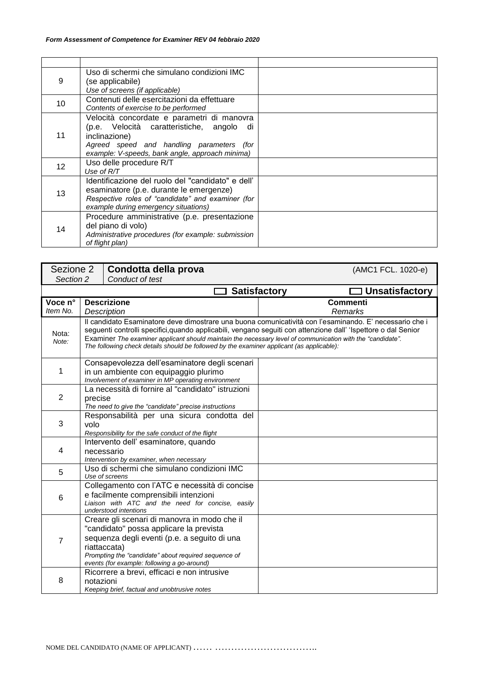| 9  | Uso di schermi che simulano condizioni IMC<br>(se applicabile)<br>Use of screens (if applicable)                                                                                                            |  |
|----|-------------------------------------------------------------------------------------------------------------------------------------------------------------------------------------------------------------|--|
| 10 | Contenuti delle esercitazioni da effettuare<br>Contents of exercise to be performed                                                                                                                         |  |
| 11 | Velocità concordate e parametri di manovra<br>(p.e. Velocità caratteristiche, angolo<br>di<br>inclinazione)<br>Agreed speed and handling parameters (for<br>example: V-speeds, bank angle, approach minima) |  |
| 12 | Uso delle procedure R/T<br>Use of $R/T$                                                                                                                                                                     |  |
| 13 | Identificazione del ruolo del "candidato" e dell'<br>esaminatore (p.e. durante le emergenze)<br>Respective roles of "candidate" and examiner (for<br>example during emergency situations)                   |  |
| 14 | Procedure amministrative (p.e. presentazione<br>del piano di volo)<br>Administrative procedures (for example: submission<br>of flight plan)                                                                 |  |

| Sezione 2<br>Condotta della prova |                                                                                                                                                                                                                                                                                                                                                                                                                                      |                                                                                                                                                                                                                                                                | (AMC1 FCL. 1020-e) |  |  |
|-----------------------------------|--------------------------------------------------------------------------------------------------------------------------------------------------------------------------------------------------------------------------------------------------------------------------------------------------------------------------------------------------------------------------------------------------------------------------------------|----------------------------------------------------------------------------------------------------------------------------------------------------------------------------------------------------------------------------------------------------------------|--------------------|--|--|
| Section 2                         |                                                                                                                                                                                                                                                                                                                                                                                                                                      | Conduct of test                                                                                                                                                                                                                                                |                    |  |  |
|                                   | <b>Unsatisfactory</b><br><b>Satisfactory</b>                                                                                                                                                                                                                                                                                                                                                                                         |                                                                                                                                                                                                                                                                |                    |  |  |
| Voce n°                           |                                                                                                                                                                                                                                                                                                                                                                                                                                      | <b>Descrizione</b>                                                                                                                                                                                                                                             | <b>Commenti</b>    |  |  |
| Item No.                          |                                                                                                                                                                                                                                                                                                                                                                                                                                      | <b>Description</b>                                                                                                                                                                                                                                             | Remarks            |  |  |
| Nota:<br>Note:                    | Il candidato Esaminatore deve dimostrare una buona comunicatività con l'esaminando. E' necessario che i<br>seguenti controlli specifici, quando applicabili, vengano seguiti con attenzione dall' 'Ispettore o dal Senior<br>Examiner The examiner applicant should maintain the necessary level of communication with the "candidate".<br>The following check details should be followed by the examiner applicant (as applicable): |                                                                                                                                                                                                                                                                |                    |  |  |
| 1                                 |                                                                                                                                                                                                                                                                                                                                                                                                                                      | Consapevolezza dell'esaminatore degli scenari<br>in un ambiente con equipaggio plurimo<br>Involvement of examiner in MP operating environment                                                                                                                  |                    |  |  |
| $\overline{2}$                    | La necessità di fornire al "candidato" istruzioni<br>precise<br>The need to give the "candidate" precise instructions                                                                                                                                                                                                                                                                                                                |                                                                                                                                                                                                                                                                |                    |  |  |
| 3                                 | Responsabilità per una sicura condotta del<br>volo<br>Responsibility for the safe conduct of the flight                                                                                                                                                                                                                                                                                                                              |                                                                                                                                                                                                                                                                |                    |  |  |
| 4                                 | Intervento dell'esaminatore, quando<br>necessario<br>Intervention by examiner, when necessary                                                                                                                                                                                                                                                                                                                                        |                                                                                                                                                                                                                                                                |                    |  |  |
| 5                                 |                                                                                                                                                                                                                                                                                                                                                                                                                                      | Uso di schermi che simulano condizioni IMC<br>Use of screens                                                                                                                                                                                                   |                    |  |  |
| 6                                 | Collegamento con l'ATC e necessità di concise<br>e facilmente comprensibili intenzioni<br>Liaison with ATC and the need for concise, easily<br>understood intentions                                                                                                                                                                                                                                                                 |                                                                                                                                                                                                                                                                |                    |  |  |
| $\overline{7}$                    |                                                                                                                                                                                                                                                                                                                                                                                                                                      | Creare gli scenari di manovra in modo che il<br>"candidato" possa applicare la prevista<br>sequenza degli eventi (p.e. a seguito di una<br>riattaccata)<br>Prompting the "candidate" about required sequence of<br>events (for example: following a go-around) |                    |  |  |
| 8                                 | notazioni                                                                                                                                                                                                                                                                                                                                                                                                                            | Ricorrere a brevi, efficaci e non intrusive<br>Keeping brief, factual and unobtrusive notes                                                                                                                                                                    |                    |  |  |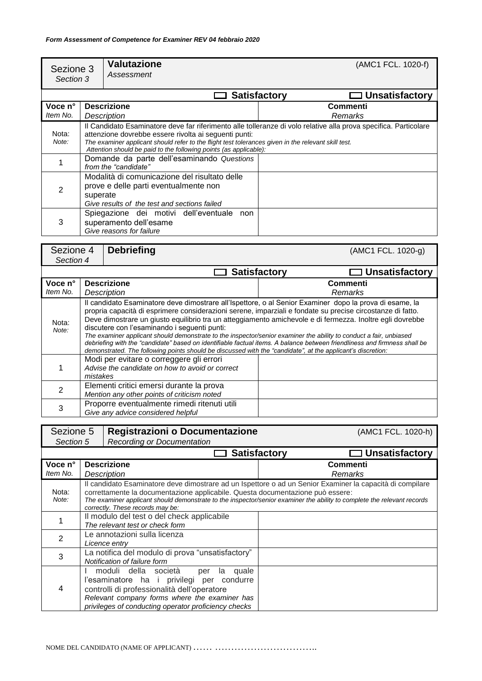| Sezione 3<br>Section 3                                   |                                                                                                                                                                                                                                                                                                                                                       | <b>Valutazione</b><br>Assessment                                                                |                     | (AMC1 FCL. 1020-f)    |
|----------------------------------------------------------|-------------------------------------------------------------------------------------------------------------------------------------------------------------------------------------------------------------------------------------------------------------------------------------------------------------------------------------------------------|-------------------------------------------------------------------------------------------------|---------------------|-----------------------|
|                                                          |                                                                                                                                                                                                                                                                                                                                                       |                                                                                                 | <b>Satisfactory</b> | $\Box$ Unsatisfactory |
| Voce n°<br><b>Descrizione</b><br>Item No.<br>Description |                                                                                                                                                                                                                                                                                                                                                       | Commenti<br>Remarks                                                                             |                     |                       |
| Nota:<br>Note:                                           | Il Candidato Esaminatore deve far riferimento alle tolleranze di volo relative alla prova specifica. Particolare<br>attenzione dovrebbe essere rivolta ai seguenti punti:<br>The examiner applicant should refer to the flight test tolerances given in the relevant skill test.<br>Attention should be paid to the following points (as applicable): |                                                                                                 |                     |                       |
|                                                          | Domande da parte dell'esaminando Questions<br>from the "candidate"                                                                                                                                                                                                                                                                                    |                                                                                                 |                     |                       |
| 2                                                        | Modalità di comunicazione del risultato delle<br>prove e delle parti eventualmente non<br>superate<br>Give results of the test and sections failed                                                                                                                                                                                                    |                                                                                                 |                     |                       |
| 3                                                        |                                                                                                                                                                                                                                                                                                                                                       | Spiegazione dei motivi dell'eventuale non<br>superamento dell'esame<br>Give reasons for failure |                     |                       |

| Sezione 4                        | <b>Debriefing</b>                                                                                                                                                                                                                                                                                                                                                                                                                                                                                                                                                                                                                                                                                                                                    |                                                                                             | (AMC1 FCL. 1020-g)    |                     |
|----------------------------------|------------------------------------------------------------------------------------------------------------------------------------------------------------------------------------------------------------------------------------------------------------------------------------------------------------------------------------------------------------------------------------------------------------------------------------------------------------------------------------------------------------------------------------------------------------------------------------------------------------------------------------------------------------------------------------------------------------------------------------------------------|---------------------------------------------------------------------------------------------|-----------------------|---------------------|
| Section 4<br>$\Box$ Satisfactory |                                                                                                                                                                                                                                                                                                                                                                                                                                                                                                                                                                                                                                                                                                                                                      |                                                                                             | $\Box$ Unsatisfactory |                     |
| Voce n°<br>Item No.              |                                                                                                                                                                                                                                                                                                                                                                                                                                                                                                                                                                                                                                                                                                                                                      | <b>Descrizione</b><br>Description                                                           |                       | Commenti<br>Remarks |
| Nota:<br>Note:                   | Il candidato Esaminatore deve dimostrare all'Ispettore, o al Senior Examiner dopo la prova di esame, la<br>propria capacità di esprimere considerazioni serene, imparziali e fondate su precise circostanze di fatto.<br>Deve dimostrare un giusto equilibrio tra un atteggiamento amichevole e di fermezza. Inoltre egli dovrebbe<br>discutere con l'esaminando i sequenti punti:<br>The examiner applicant should demonstrate to the inspector/senior examiner the ability to conduct a fair, unbiased<br>debriefing with the "candidate" based on identifiable factual items. A balance between friendliness and firmness shall be<br>demonstrated. The following points should be discussed with the "candidate", at the applicant's discretion: |                                                                                             |                       |                     |
|                                  | mistakes                                                                                                                                                                                                                                                                                                                                                                                                                                                                                                                                                                                                                                                                                                                                             | Modi per evitare o correggere gli errori<br>Advise the candidate on how to avoid or correct |                       |                     |
| 2                                |                                                                                                                                                                                                                                                                                                                                                                                                                                                                                                                                                                                                                                                                                                                                                      | Elementi critici emersi durante la prova<br>Mention any other points of criticism noted     |                       |                     |
| 3                                |                                                                                                                                                                                                                                                                                                                                                                                                                                                                                                                                                                                                                                                                                                                                                      | Proporre eventualmente rimedi ritenuti utili<br>Give any advice considered helpful          |                       |                     |

| Registrazioni o Documentazione<br>Sezione 5 |                                                                                  |                                                                                                                                                                                                                                                          | (AMC1 FCL. 1020-h)                                                                                                                                                                                                                   |
|---------------------------------------------|----------------------------------------------------------------------------------|----------------------------------------------------------------------------------------------------------------------------------------------------------------------------------------------------------------------------------------------------------|--------------------------------------------------------------------------------------------------------------------------------------------------------------------------------------------------------------------------------------|
| Section 5                                   |                                                                                  | <b>Recording or Documentation</b>                                                                                                                                                                                                                        |                                                                                                                                                                                                                                      |
|                                             |                                                                                  |                                                                                                                                                                                                                                                          | $\Box$ Unsatisfactory<br><b>Satisfactory</b>                                                                                                                                                                                         |
| Voce n°                                     |                                                                                  | <b>Descrizione</b>                                                                                                                                                                                                                                       | Commenti                                                                                                                                                                                                                             |
| Item No.                                    |                                                                                  | <b>Description</b>                                                                                                                                                                                                                                       | Remarks                                                                                                                                                                                                                              |
| Nota:<br>Note:                              |                                                                                  | correttamente la documentazione applicabile. Questa documentazione può essere:<br>correctly. These records may be:                                                                                                                                       | Il candidato Esaminatore deve dimostrare ad un Ispettore o ad un Senior Examiner la capacità di compilare<br>The examiner applicant should demonstrate to the inspector/senior examiner the ability to complete the relevant records |
|                                             | Il modulo del test o del check applicabile<br>The relevant test or check form    |                                                                                                                                                                                                                                                          |                                                                                                                                                                                                                                      |
| 2                                           | Le annotazioni sulla licenza<br>Licence entry                                    |                                                                                                                                                                                                                                                          |                                                                                                                                                                                                                                      |
| 3                                           | La notifica del modulo di prova "unsatisfactory"<br>Notification of failure form |                                                                                                                                                                                                                                                          |                                                                                                                                                                                                                                      |
| 4                                           |                                                                                  | moduli della società<br>quale<br>la<br>per<br>l'esaminatore ha i<br>privilegi<br>condurre<br>per<br>controlli di professionalità dell'operatore<br>Relevant company forms where the examiner has<br>privileges of conducting operator proficiency checks |                                                                                                                                                                                                                                      |

NOME DEL CANDIDATO (NAME OF APPLICANT)  $\ldots\ldots\ldots\ldots\ldots\ldots\ldots\ldots\ldots\ldots\ldots\ldots\ldots$